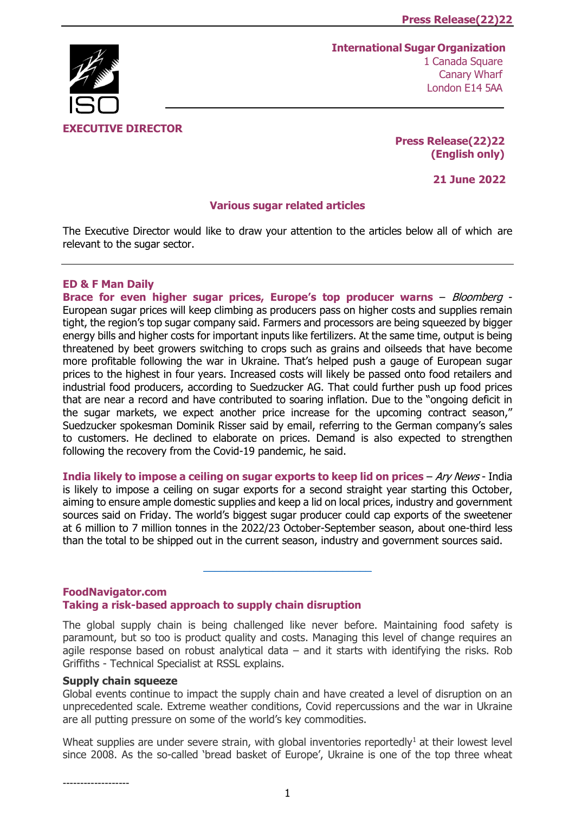# **EXECUTIVE DIRECTOR**

**International Sugar Organization** 1 Canada Square Canary Wharf London E14 5AA

> **Press Release(22)22 (English only)**

> > **21 June 2022**

### **Various sugar related articles**

The Executive Director would like to draw your attention to the articles below all of which are relevant to the sugar sector.

### **ED & F Man Daily**

**Brace for even higher sugar prices, Europe's top producer warns** – Bloomberg - European sugar prices will keep climbing as producers pass on higher costs and supplies remain tight, the region's top sugar company said. Farmers and processors are being squeezed by bigger energy bills and higher costs for important inputs like fertilizers. At the same time, output is being threatened by beet growers switching to crops such as grains and oilseeds that have become more profitable following the war in Ukraine. That's helped push a gauge of European sugar prices to the highest in four years. Increased costs will likely be passed onto food retailers and industrial food producers, according to Suedzucker AG. That could further push up food prices that are near a record and have contributed to soaring inflation. Due to the "ongoing deficit in the sugar markets, we expect another price increase for the upcoming contract season," Suedzucker spokesman Dominik Risser said by email, referring to the German company's sales to customers. He declined to elaborate on prices. Demand is also expected to strengthen following the recovery from the Covid-19 pandemic, he said.

**India likely to impose a ceiling on sugar exports to keep lid on prices** – Ary News - India is likely to impose a ceiling on sugar exports for a second straight year starting this October, aiming to ensure ample domestic supplies and keep a lid on local prices, industry and government sources said on Friday. The world's biggest sugar producer could cap exports of the sweetener at 6 million to 7 million tonnes in the 2022/23 October-September season, about one-third less than the total to be shipped out in the current season, industry and government sources said.

\_\_\_\_\_\_\_\_\_\_\_\_\_\_\_\_\_\_\_\_\_\_\_\_\_\_\_\_\_

## **FoodNavigator.com Taking a risk-based approach to supply chain disruption**

The global supply chain is being challenged like never before. Maintaining food safety is paramount, but so too is product quality and costs. Managing this level of change requires an agile response based on robust analytical data  $-$  and it starts with identifying the risks. Rob Griffiths - Technical Specialist at RSSL explains.

## **Supply chain squeeze**

Global events continue to impact the supply chain and have created a level of disruption on an unprecedented scale. Extreme weather conditions, Covid repercussions and the war in Ukraine are all putting pressure on some of the world's key commodities.

Wheat supplies are under severe strain, with global inventories reportedly<sup>1</sup> at their lowest level since 2008. As the so-called 'bread basket of Europe', Ukraine is one of the top three wheat

-------------------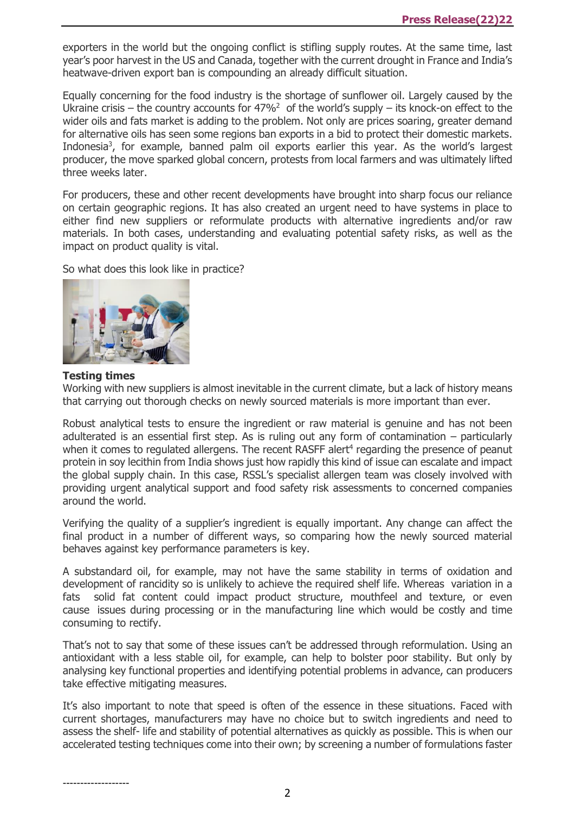exporters in the world but the ongoing conflict is stifling supply routes. At the same time, last year's poor harvest in the US and Canada, together with the current drought in France and India's heatwave-driven export ban is compounding an already difficult situation.

Equally concerning for the food industry is the shortage of sunflower oil. Largely caused by the Ukraine crisis – the country accounts for  $47\%^2$  of the world's supply – its knock-on effect to the wider oils and fats market is adding to the problem. Not only are prices soaring, greater demand for alternative oils has seen some regions ban exports in a bid to protect their domestic markets. Indonesia<sup>3</sup>, for example, banned palm oil exports earlier this year. As the world's largest producer, the move sparked global concern, protests from local farmers and was ultimately lifted three weeks later.

For producers, these and other recent developments have brought into sharp focus our reliance on certain geographic regions. It has also created an urgent need to have systems in place to either find new suppliers or reformulate products with alternative ingredients and/or raw materials. In both cases, understanding and evaluating potential safety risks, as well as the impact on product quality is vital.

So what does this look like in practice?



#### **Testing times**

Working with new suppliers is almost inevitable in the current climate, but a lack of history means that carrying out thorough checks on newly sourced materials is more important than ever.

Robust analytical tests to ensure the ingredient or raw material is genuine and has not been adulterated is an essential first step. As is ruling out any form of contamination – particularly when it comes to regulated allergens. The recent RASFF alert<sup>4</sup> regarding the presence of peanut protein in soy lecithin from India shows just how rapidly this kind of issue can escalate and impact the global supply chain. In this case, RSSL's specialist allergen team was closely involved with providing urgent analytical support and food safety risk assessments to concerned companies around the world.

Verifying the quality of a supplier's ingredient is equally important. Any change can affect the final product in a number of different ways, so comparing how the newly sourced material behaves against key performance parameters is key.

A substandard oil, for example, may not have the same stability in terms of oxidation and development of rancidity so is unlikely to achieve the required shelf life. Whereas variation in a fats solid fat content could impact product structure, mouthfeel and texture, or even cause issues during processing or in the manufacturing line which would be costly and time consuming to rectify.

That's not to say that some of these issues can't be addressed through reformulation. Using an antioxidant with a less stable oil, for example, can help to bolster poor stability. But only by analysing key functional properties and identifying potential problems in advance, can producers take effective mitigating measures.

It's also important to note that speed is often of the essence in these situations. Faced with current shortages, manufacturers may have no choice but to switch ingredients and need to assess the shelf- life and stability of potential alternatives as quickly as possible. This is when our accelerated testing techniques come into their own; by screening a number of formulations faster

-------------------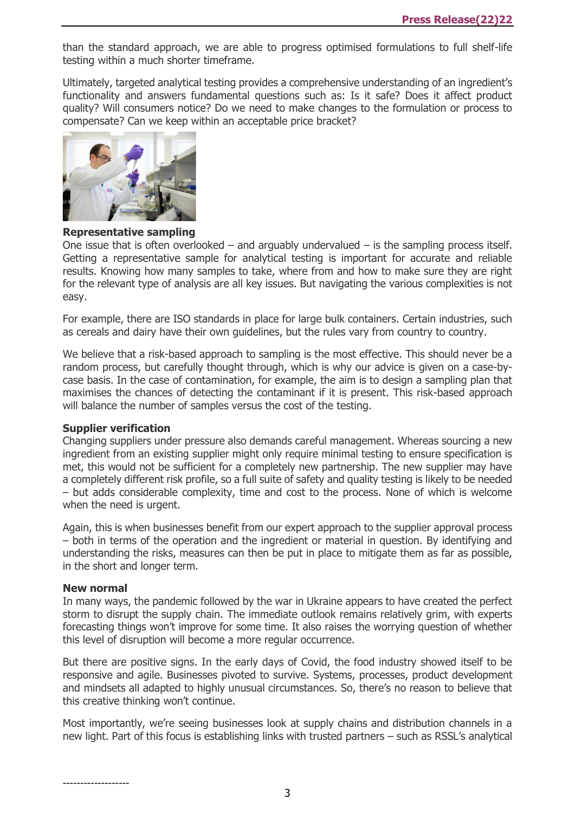than the standard approach, we are able to progress optimised formulations to full shelf-life testing within a much shorter timeframe.

Ultimately, targeted analytical testing provides a comprehensive understanding of an ingredient's functionality and answers fundamental questions such as: Is it safe? Does it affect product quality? Will consumers notice? Do we need to make changes to the formulation or process to compensate? Can we keep within an acceptable price bracket?



**Representative sampling**

One issue that is often overlooked  $-$  and arguably undervalued  $-$  is the sampling process itself. Getting a representative sample for analytical testing is important for accurate and reliable results. Knowing how many samples to take, where from and how to make sure they are right for the relevant type of analysis are all key issues. But navigating the various complexities is not easy.

For example, there are ISO standards in place for large bulk containers. Certain industries, such as cereals and dairy have their own guidelines, but the rules vary from country to country.

We believe that a risk-based approach to sampling is the most effective. This should never be a random process, but carefully thought through, which is why our advice is given on a case-bycase basis. In the case of contamination, for example, the aim is to design a sampling plan that maximises the chances of detecting the contaminant if it is present. This risk-based approach will balance the number of samples versus the cost of the testing.

### **Supplier verification**

Changing suppliers under pressure also demands careful management. Whereas sourcing a new ingredient from an existing supplier might only require minimal testing to ensure specification is met, this would not be sufficient for a completely new partnership. The new supplier may have a completely different risk profile, so a full suite of safety and quality testing is likely to be needed – but adds considerable complexity, time and cost to the process. None of which is welcome when the need is urgent.

Again, this is when businesses benefit from our expert approach to the supplier approval process – both in terms of the operation and the ingredient or material in question. By identifying and understanding the risks, measures can then be put in place to mitigate them as far as possible, in the short and longer term.

#### **New normal**

-------------------

In many ways, the pandemic followed by the war in Ukraine appears to have created the perfect storm to disrupt the supply chain. The immediate outlook remains relatively grim, with experts forecasting things won't improve for some time. It also raises the worrying question of whether this level of disruption will become a more regular occurrence.

But there are positive signs. In the early days of Covid, the food industry showed itself to be responsive and agile. Businesses pivoted to survive. Systems, processes, product development and mindsets all adapted to highly unusual circumstances. So, there's no reason to believe that this creative thinking won't continue.

Most importantly, we're seeing businesses look at supply chains and distribution channels in a new light. Part of this focus is establishing links with trusted partners – such as RSSL's analytical